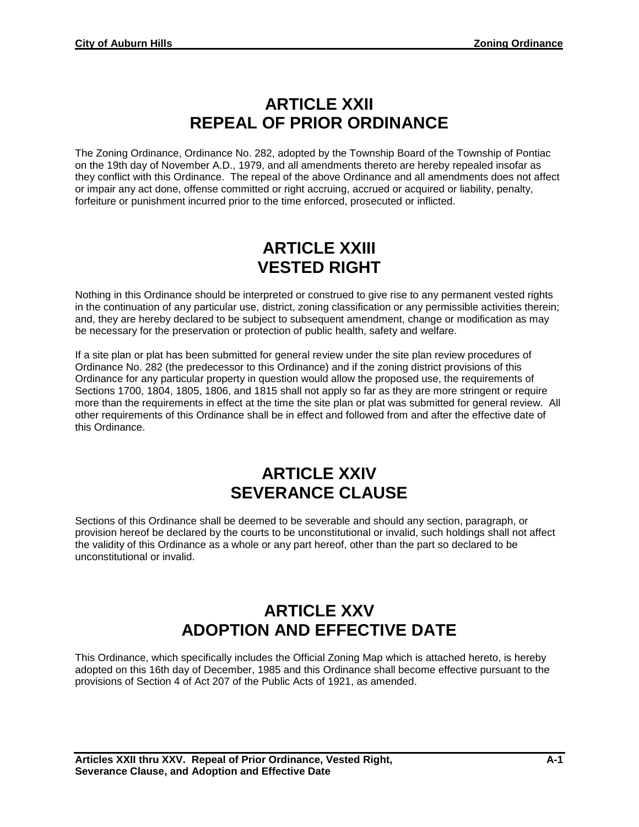## **ARTICLE XXII REPEAL OF PRIOR ORDINANCE**

The Zoning Ordinance, Ordinance No. 282, adopted by the Township Board of the Township of Pontiac on the 19th day of November A.D., 1979, and all amendments thereto are hereby repealed insofar as they conflict with this Ordinance. The repeal of the above Ordinance and all amendments does not affect or impair any act done, offense committed or right accruing, accrued or acquired or liability, penalty, forfeiture or punishment incurred prior to the time enforced, prosecuted or inflicted.

## **ARTICLE XXIII VESTED RIGHT**

Nothing in this Ordinance should be interpreted or construed to give rise to any permanent vested rights in the continuation of any particular use, district, zoning classification or any permissible activities therein; and, they are hereby declared to be subject to subsequent amendment, change or modification as may be necessary for the preservation or protection of public health, safety and welfare.

If a site plan or plat has been submitted for general review under the site plan review procedures of Ordinance No. 282 (the predecessor to this Ordinance) and if the zoning district provisions of this Ordinance for any particular property in question would allow the proposed use, the requirements of Sections 1700, 1804, 1805, 1806, and 1815 shall not apply so far as they are more stringent or require more than the requirements in effect at the time the site plan or plat was submitted for general review. All other requirements of this Ordinance shall be in effect and followed from and after the effective date of this Ordinance.

## **ARTICLE XXIV SEVERANCE CLAUSE**

Sections of this Ordinance shall be deemed to be severable and should any section, paragraph, or provision hereof be declared by the courts to be unconstitutional or invalid, such holdings shall not affect the validity of this Ordinance as a whole or any part hereof, other than the part so declared to be unconstitutional or invalid.

## **ARTICLE XXV ADOPTION AND EFFECTIVE DATE**

This Ordinance, which specifically includes the Official Zoning Map which is attached hereto, is hereby adopted on this 16th day of December, 1985 and this Ordinance shall become effective pursuant to the provisions of Section 4 of Act 207 of the Public Acts of 1921, as amended.